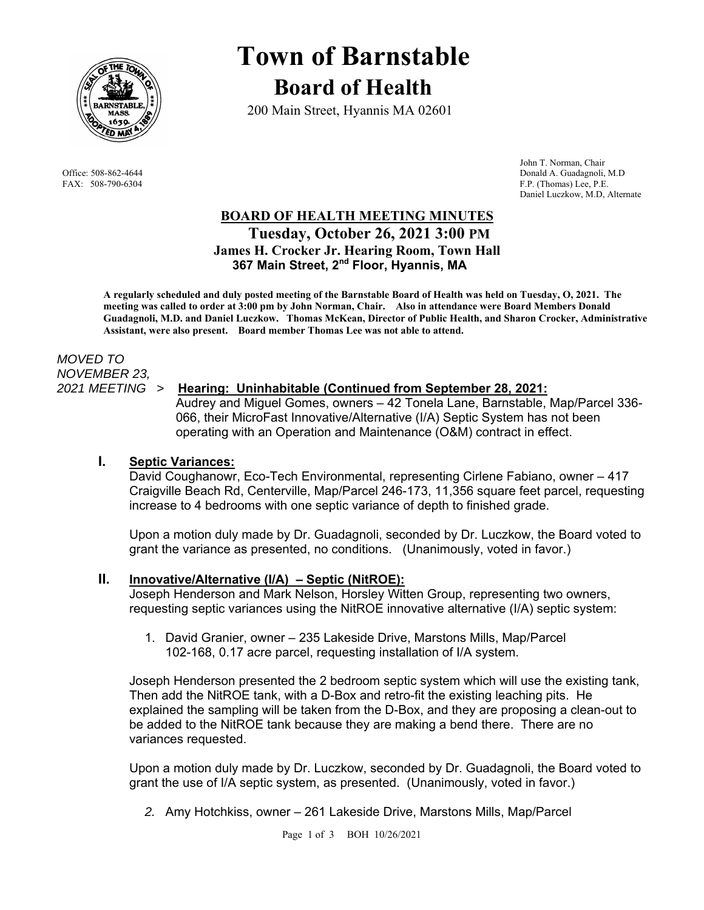

# **Town of Barnstable Board of Health**

200 Main Street, Hyannis MA 02601

 John T. Norman, Chair Office: 508-862-4644 Donald A. Guadagnoli, M.D<br>
FAX: 508-790-6304 F.P. (Thomas) Lee, P.E. F.P. (Thomas) Lee, P.E. Daniel Luczkow, M.D, Alternate

# **BOARD OF HEALTH MEETING MINUTES Tuesday, October 26, 2021 3:00 PM James H. Crocker Jr. Hearing Room, Town Hall 367 Main Street, 2nd Floor, Hyannis, MA**

 **A regularly scheduled and duly posted meeting of the Barnstable Board of Health was held on Tuesday, O, 2021. The meeting was called to order at 3:00 pm by John Norman, Chair. Also in attendance were Board Members Donald Guadagnoli, M.D. and Daniel Luczkow. Thomas McKean, Director of Public Health, and Sharon Crocker, Administrative Assistant, were also present. Board member Thomas Lee was not able to attend.** 

# *MOVED TO NOVEMBER 23,*

# *2021 MEETING >* **Hearing: Uninhabitable (Continued from September 28, 2021:**

Audrey and Miguel Gomes, owners – 42 Tonela Lane, Barnstable, Map/Parcel 336- 066, their MicroFast Innovative/Alternative (I/A) Septic System has not been operating with an Operation and Maintenance (O&M) contract in effect.

# **I. Septic Variances:**

David Coughanowr, Eco-Tech Environmental, representing Cirlene Fabiano, owner – 417 Craigville Beach Rd, Centerville, Map/Parcel 246-173, 11,356 square feet parcel, requesting increase to 4 bedrooms with one septic variance of depth to finished grade.

Upon a motion duly made by Dr. Guadagnoli, seconded by Dr. Luczkow, the Board voted to grant the variance as presented, no conditions. (Unanimously, voted in favor.)

# **II. Innovative/Alternative (I/A) – Septic (NitROE):**

Joseph Henderson and Mark Nelson, Horsley Witten Group, representing two owners, requesting septic variances using the NitROE innovative alternative (I/A) septic system:

1. David Granier, owner – 235 Lakeside Drive, Marstons Mills, Map/Parcel 102-168, 0.17 acre parcel, requesting installation of I/A system.

Joseph Henderson presented the 2 bedroom septic system which will use the existing tank, Then add the NitROE tank, with a D-Box and retro-fit the existing leaching pits. He explained the sampling will be taken from the D-Box, and they are proposing a clean-out to be added to the NitROE tank because they are making a bend there. There are no variances requested.

Upon a motion duly made by Dr. Luczkow, seconded by Dr. Guadagnoli, the Board voted to grant the use of I/A septic system, as presented. (Unanimously, voted in favor.)

*2.* Amy Hotchkiss, owner – 261 Lakeside Drive, Marstons Mills, Map/Parcel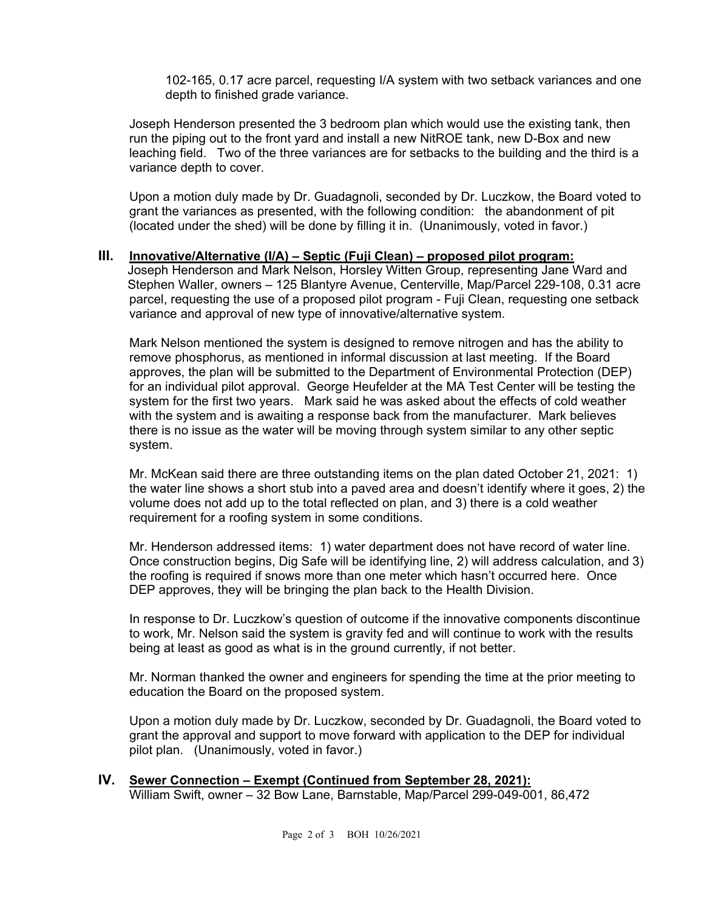102-165, 0.17 acre parcel, requesting I/A system with two setback variances and one depth to finished grade variance.

Joseph Henderson presented the 3 bedroom plan which would use the existing tank, then run the piping out to the front yard and install a new NitROE tank, new D-Box and new leaching field. Two of the three variances are for setbacks to the building and the third is a variance depth to cover.

Upon a motion duly made by Dr. Guadagnoli, seconded by Dr. Luczkow, the Board voted to grant the variances as presented, with the following condition: the abandonment of pit (located under the shed) will be done by filling it in. (Unanimously, voted in favor.)

#### **III. Innovative/Alternative (I/A) – Septic (Fuji Clean) – proposed pilot program:**

 Joseph Henderson and Mark Nelson, Horsley Witten Group, representing Jane Ward and Stephen Waller, owners – 125 Blantyre Avenue, Centerville, Map/Parcel 229-108, 0.31 acre parcel, requesting the use of a proposed pilot program - Fuji Clean, requesting one setback variance and approval of new type of innovative/alternative system.

Mark Nelson mentioned the system is designed to remove nitrogen and has the ability to remove phosphorus, as mentioned in informal discussion at last meeting. If the Board approves, the plan will be submitted to the Department of Environmental Protection (DEP) for an individual pilot approval. George Heufelder at the MA Test Center will be testing the system for the first two years. Mark said he was asked about the effects of cold weather with the system and is awaiting a response back from the manufacturer. Mark believes there is no issue as the water will be moving through system similar to any other septic system.

Mr. McKean said there are three outstanding items on the plan dated October 21, 2021: 1) the water line shows a short stub into a paved area and doesn't identify where it goes, 2) the volume does not add up to the total reflected on plan, and 3) there is a cold weather requirement for a roofing system in some conditions.

Mr. Henderson addressed items: 1) water department does not have record of water line. Once construction begins, Dig Safe will be identifying line, 2) will address calculation, and 3) the roofing is required if snows more than one meter which hasn't occurred here. Once DEP approves, they will be bringing the plan back to the Health Division.

In response to Dr. Luczkow's question of outcome if the innovative components discontinue to work, Mr. Nelson said the system is gravity fed and will continue to work with the results being at least as good as what is in the ground currently, if not better.

Mr. Norman thanked the owner and engineers for spending the time at the prior meeting to education the Board on the proposed system.

Upon a motion duly made by Dr. Luczkow, seconded by Dr. Guadagnoli, the Board voted to grant the approval and support to move forward with application to the DEP for individual pilot plan. (Unanimously, voted in favor.)

**IV. Sewer Connection – Exempt (Continued from September 28, 2021):** William Swift, owner – 32 Bow Lane, Barnstable, Map/Parcel 299-049-001, 86,472